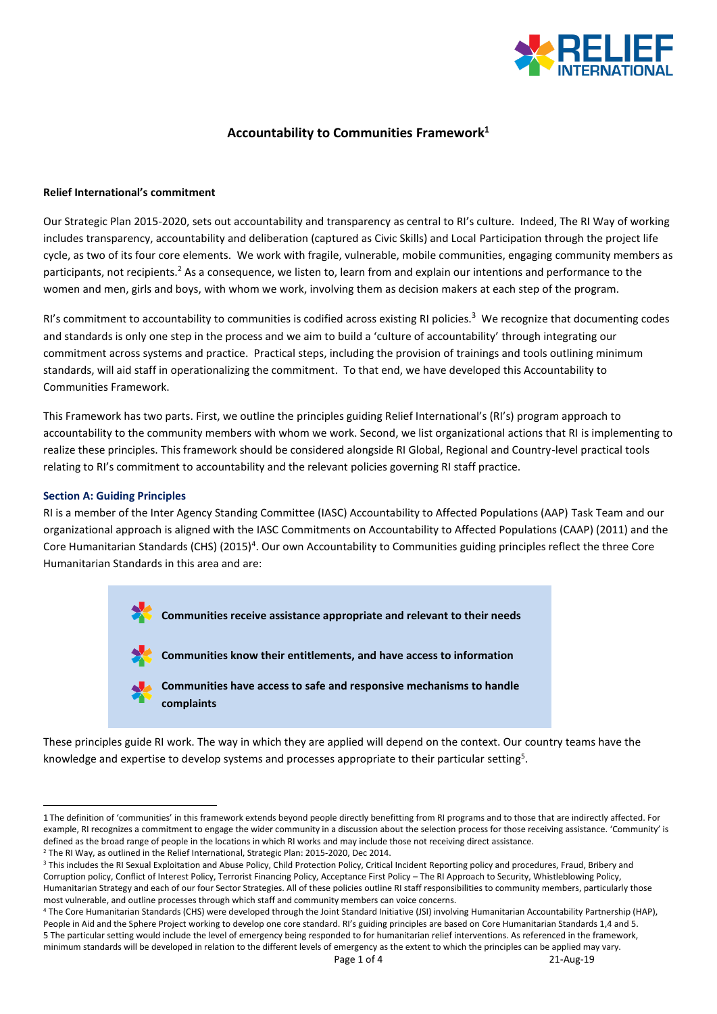

# **Accountability to Communities Framework<sup>1</sup>**

### **Relief International's commitment**

Our Strategic Plan 2015-2020, sets out accountability and transparency as central to RI's culture. Indeed, The RI Way of working includes transparency, accountability and deliberation (captured as Civic Skills) and Local Participation through the project life cycle, as two of its four core elements. We work with fragile, vulnerable, mobile communities, engaging community members as participants, not recipients.<sup>2</sup> As a consequence, we listen to, learn from and explain our intentions and performance to the women and men, girls and boys, with whom we work, involving them as decision makers at each step of the program.

RI's commitment to accountability to communities is codified across existing RI policies.<sup>3</sup> We recognize that documenting codes and standards is only one step in the process and we aim to build a 'culture of accountability' through integrating our commitment across systems and practice. Practical steps, including the provision of trainings and tools outlining minimum standards, will aid staff in operationalizing the commitment. To that end, we have developed this Accountability to Communities Framework.

This Framework has two parts. First, we outline the principles guiding Relief International's (RI's) program approach to accountability to the community members with whom we work. Second, we list organizational actions that RI is implementing to realize these principles. This framework should be considered alongside RI Global, Regional and Country-level practical tools relating to RI's commitment to accountability and the relevant policies governing RI staff practice.

## **Section A: Guiding Principles**

**.** 

RI is a member of the Inter Agency Standing Committee (IASC) Accountability to Affected Populations (AAP) Task Team and our organizational approach is aligned with the IASC Commitments on Accountability to Affected Populations (CAAP) (2011) and the Core Humanitarian Standards (CHS) (2015)<sup>4</sup>. Our own Accountability to Communities guiding principles reflect the three Core Humanitarian Standards in this area and are:



These principles guide RI work. The way in which they are applied will depend on the context. Our country teams have the knowledge and expertise to develop systems and processes appropriate to their particular setting<sup>5</sup>.

<sup>1</sup> The definition of 'communities' in this framework extends beyond people directly benefitting from RI programs and to those that are indirectly affected. For example, RI recognizes a commitment to engage the wider community in a discussion about the selection process for those receiving assistance. 'Community' is defined as the broad range of people in the locations in which RI works and may include those not receiving direct assistance.

<sup>&</sup>lt;sup>2</sup> The RI Way, as outlined in the Relief International, Strategic Plan: 2015-2020, Dec 2014.

<sup>&</sup>lt;sup>3</sup> This includes the RI Sexual Exploitation and Abuse Policy, Child Protection Policy, Critical Incident Reporting policy and procedures, Fraud, Bribery and Corruption policy, Conflict of Interest Policy, Terrorist Financing Policy, Acceptance First Policy – The RI Approach to Security, Whistleblowing Policy, Humanitarian Strategy and each of our four Sector Strategies. All of these policies outline RI staff responsibilities to community members, particularly those most vulnerable, and outline processes through which staff and community members can voice concerns.

<sup>4</sup> The Core Humanitarian Standards (CHS) were developed through the Joint Standard Initiative (JSI) involving Humanitarian Accountability Partnership (HAP), People in Aid and the Sphere Project working to develop one core standard. RI's guiding principles are based on Core Humanitarian Standards 1,4 and 5. 5 The particular setting would include the level of emergency being responded to for humanitarian relief interventions. As referenced in the framework, minimum standards will be developed in relation to the different levels of emergency as the extent to which the principles can be applied may vary.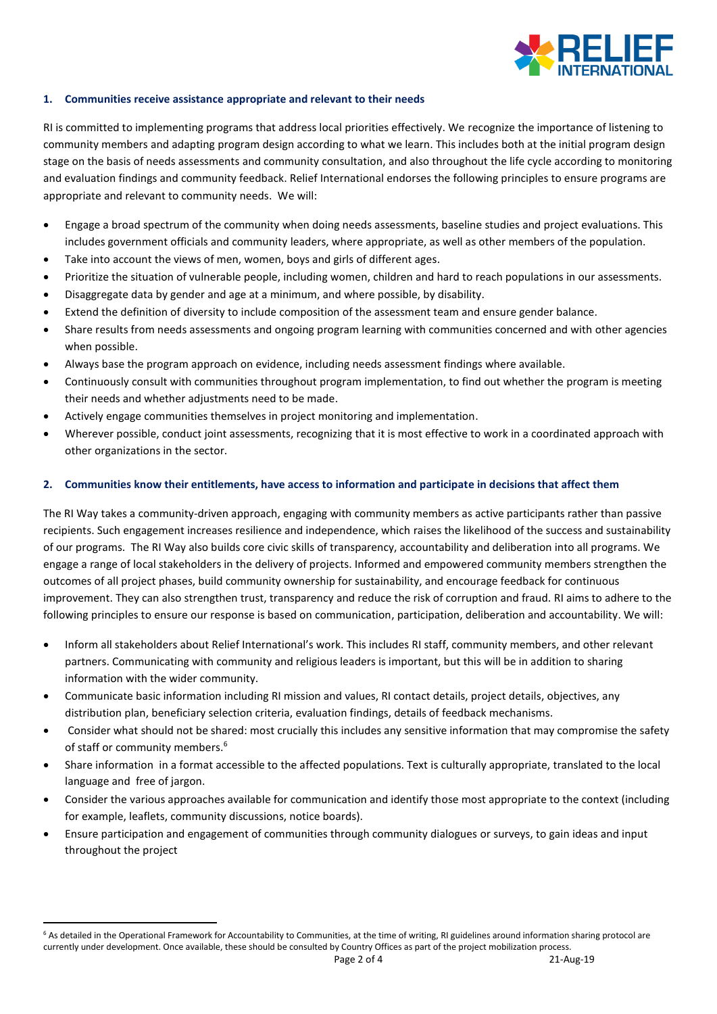

### **1. Communities receive assistance appropriate and relevant to their needs**

RI is committed to implementing programs that address local priorities effectively. We recognize the importance of listening to community members and adapting program design according to what we learn. This includes both at the initial program design stage on the basis of needs assessments and community consultation, and also throughout the life cycle according to monitoring and evaluation findings and community feedback. Relief International endorses the following principles to ensure programs are appropriate and relevant to community needs. We will:

- Engage a broad spectrum of the community when doing needs assessments, baseline studies and project evaluations. This includes government officials and community leaders, where appropriate, as well as other members of the population.
- Take into account the views of men, women, boys and girls of different ages.
- Prioritize the situation of vulnerable people, including women, children and hard to reach populations in our assessments.
- Disaggregate data by gender and age at a minimum, and where possible, by disability.
- Extend the definition of diversity to include composition of the assessment team and ensure gender balance.
- Share results from needs assessments and ongoing program learning with communities concerned and with other agencies when possible.
- Always base the program approach on evidence, including needs assessment findings where available.
- Continuously consult with communities throughout program implementation, to find out whether the program is meeting their needs and whether adjustments need to be made.
- Actively engage communities themselves in project monitoring and implementation.
- Wherever possible, conduct joint assessments, recognizing that it is most effective to work in a coordinated approach with other organizations in the sector.

## **2. Communities know their entitlements, have access to information and participate in decisions that affect them**

The RI Way takes a community-driven approach, engaging with community members as active participants rather than passive recipients. Such engagement increases resilience and independence, which raises the likelihood of the success and sustainability of our programs. The RI Way also builds core civic skills of transparency, accountability and deliberation into all programs. We engage a range of local stakeholders in the delivery of projects. Informed and empowered community members strengthen the outcomes of all project phases, build community ownership for sustainability, and encourage feedback for continuous improvement. They can also strengthen trust, transparency and reduce the risk of corruption and fraud. RI aims to adhere to the following principles to ensure our response is based on communication, participation, deliberation and accountability. We will:

- Inform all stakeholders about Relief International's work. This includes RI staff, community members, and other relevant partners. Communicating with community and religious leaders is important, but this will be in addition to sharing information with the wider community.
- Communicate basic information including RI mission and values, RI contact details, project details, objectives, any distribution plan, beneficiary selection criteria, evaluation findings, details of feedback mechanisms.
- Consider what should not be shared: most crucially this includes any sensitive information that may compromise the safety of staff or community members. 6
- Share information in a format accessible to the affected populations. Text is culturally appropriate, translated to the local language and free of jargon.
- Consider the various approaches available for communication and identify those most appropriate to the context (including for example, leaflets, community discussions, notice boards).
- Ensure participation and engagement of communities through community dialogues or surveys, to gain ideas and input throughout the project

**.** 

<sup>&</sup>lt;sup>6</sup> As detailed in the Operational Framework for Accountability to Communities, at the time of writing, RI guidelines around information sharing protocol are currently under development. Once available, these should be consulted by Country Offices as part of the project mobilization process.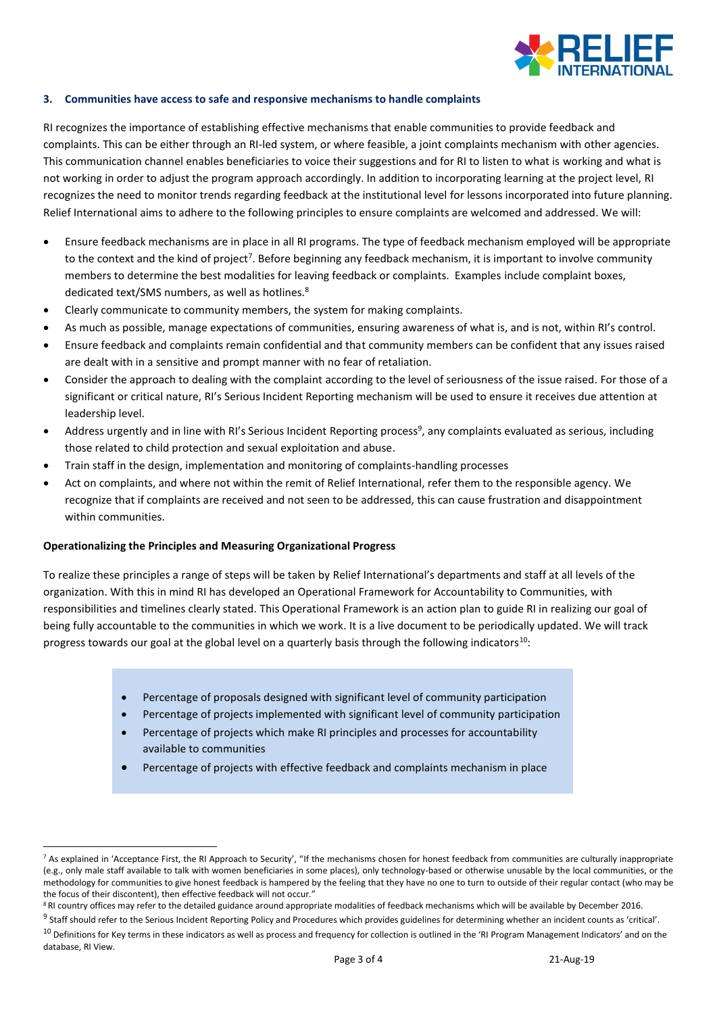

### **3. Communities have access to safe and responsive mechanisms to handle complaints**

RI recognizes the importance of establishing effective mechanisms that enable communities to provide feedback and complaints. This can be either through an RI-led system, or where feasible, a joint complaints mechanism with other agencies. This communication channel enables beneficiaries to voice their suggestions and for RI to listen to what is working and what is not working in order to adjust the program approach accordingly. In addition to incorporating learning at the project level, RI recognizes the need to monitor trends regarding feedback at the institutional level for lessons incorporated into future planning. Relief International aims to adhere to the following principles to ensure complaints are welcomed and addressed. We will:

- Ensure feedback mechanisms are in place in all RI programs. The type of feedback mechanism employed will be appropriate to the context and the kind of project<sup>7</sup>. Before beginning any feedback mechanism, it is important to involve community members to determine the best modalities for leaving feedback or complaints. Examples include complaint boxes, dedicated text/SMS numbers, as well as hotlines.<sup>8</sup>
- Clearly communicate to community members, the system for making complaints.
- As much as possible, manage expectations of communities, ensuring awareness of what is, and is not, within RI's control.
- Ensure feedback and complaints remain confidential and that community members can be confident that any issues raised are dealt with in a sensitive and prompt manner with no fear of retaliation.
- Consider the approach to dealing with the complaint according to the level of seriousness of the issue raised. For those of a significant or critical nature, RI's Serious Incident Reporting mechanism will be used to ensure it receives due attention at leadership level.
- Address urgently and in line with RI's Serious Incident Reporting process<sup>9</sup>, any complaints evaluated as serious, including those related to child protection and sexual exploitation and abuse.
- Train staff in the design, implementation and monitoring of complaints-handling processes
- Act on complaints, and where not within the remit of Relief International, refer them to the responsible agency. We recognize that if complaints are received and not seen to be addressed, this can cause frustration and disappointment within communities.

### **Operationalizing the Principles and Measuring Organizational Progress**

**.** 

To realize these principles a range of steps will be taken by Relief International's departments and staff at all levels of the organization. With this in mind RI has developed an Operational Framework for Accountability to Communities, with responsibilities and timelines clearly stated. This Operational Framework is an action plan to guide RI in realizing our goal of being fully accountable to the communities in which we work. It is a live document to be periodically updated. We will track progress towards our goal at the global level on a quarterly basis through the following indicators<sup>10</sup>:

- Percentage of proposals designed with significant level of community participation
- Percentage of projects implemented with significant level of community participation
- Percentage of projects which make RI principles and processes for accountability available to communities
- Percentage of projects with effective feedback and complaints mechanism in place

<sup>&</sup>lt;sup>7</sup> As explained in 'Acceptance First, the RI Approach to Security', "If the mechanisms chosen for honest feedback from communities are culturally inappropriate (e.g., only male staff available to talk with women beneficiaries in some places), only technology-based or otherwise unusable by the local communities, or the methodology for communities to give honest feedback is hampered by the feeling that they have no one to turn to outside of their regular contact (who may be the focus of their discontent), then effective feedback will not occur."

<sup>&</sup>lt;sup>8</sup> RI country offices may refer to the detailed guidance around appropriate modalities of feedback mechanisms which will be available by December 2016.

<sup>&</sup>lt;sup>9</sup> Staff should refer to the Serious Incident Reporting Policy and Procedures which provides guidelines for determining whether an incident counts as 'critical'.

<sup>&</sup>lt;sup>10</sup> Definitions for Key terms in these indicators as well as process and frequency for collection is outlined in the 'RI Program Management Indicators' and on the database, RI View.